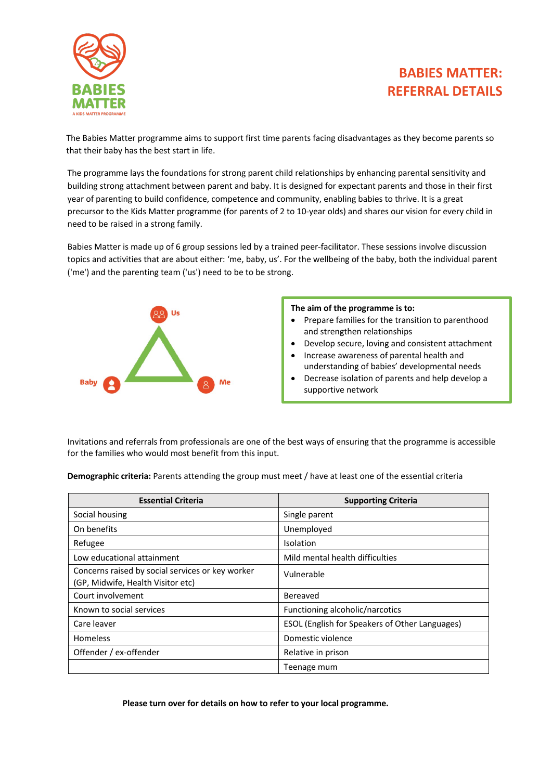## **BABIES MATTER: REFERRAL DETAILS**



The Babies Matter programme aims to support first time parents facing disadvantages as they become parents so that their baby has the best start in life.

The programme lays the foundations for strong parent child relationships by enhancing parental sensitivity and building strong attachment between parent and baby. It is designed for expectant parents and those in their first year of parenting to build confidence, competence and community, enabling babies to thrive. It is a great precursor to the Kids Matter programme (for parents of 2 to 10-year olds) and shares our vision for every child in need to be raised in a strong family.

Babies Matter is made up of 6 group sessions led by a trained peer-facilitator. These sessions involve discussion topics and activities that are about either: 'me, baby, us'. For the wellbeing of the baby, both the individual parent ('me') and the parenting team ('us') need to be to be strong.



## **The aim of the programme is to:**

- Prepare families for the transition to parenthood and strengthen relationships
- Develop secure, loving and consistent attachment
- Increase awareness of parental health and understanding of babies' developmental needs
- Decrease isolation of parents and help develop a supportive network

Invitations and referrals from professionals are one of the best ways of ensuring that the programme is accessible for the families who would most benefit from this input.

**Demographic criteria:** Parents attending the group must meet / have at least one of the essential criteria

| <b>Essential Criteria</b>                                                             | <b>Supporting Criteria</b>                            |
|---------------------------------------------------------------------------------------|-------------------------------------------------------|
| Social housing                                                                        | Single parent                                         |
| On benefits                                                                           | Unemployed                                            |
| Refugee                                                                               | Isolation                                             |
| Low educational attainment                                                            | Mild mental health difficulties                       |
| Concerns raised by social services or key worker<br>(GP, Midwife, Health Visitor etc) | Vulnerable                                            |
| Court involvement                                                                     | Bereaved                                              |
| Known to social services                                                              | Functioning alcoholic/narcotics                       |
| Care leaver                                                                           | <b>ESOL (English for Speakers of Other Languages)</b> |
| <b>Homeless</b>                                                                       | Domestic violence                                     |
| Offender / ex-offender                                                                | Relative in prison                                    |
|                                                                                       | Teenage mum                                           |

**Please turn over for details on how to refer to your local programme.**